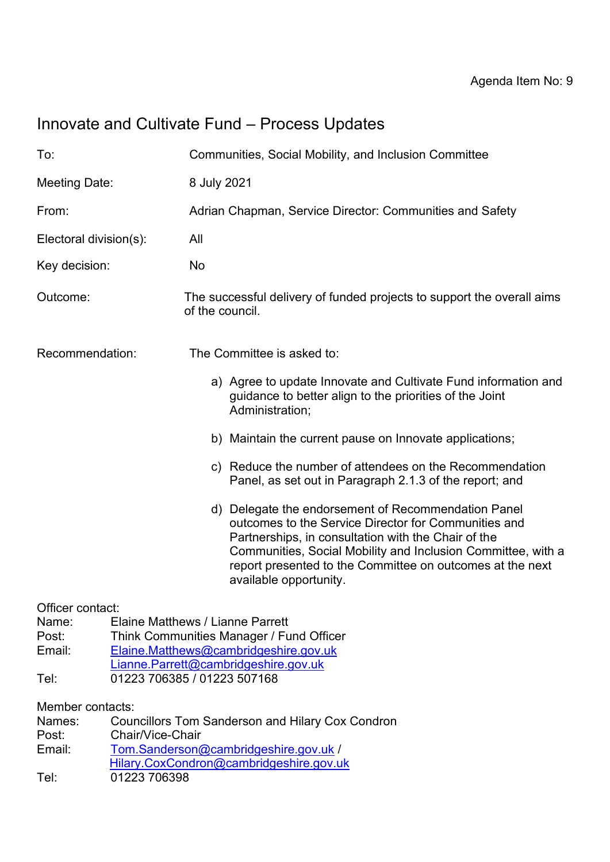# Innovate and Cultivate Fund – Process Updates

| To:                                                                                                                                                                                                                                                  |                  | Communities, Social Mobility, and Inclusion Committee                                                                                                                                                                                                                                                                     |
|------------------------------------------------------------------------------------------------------------------------------------------------------------------------------------------------------------------------------------------------------|------------------|---------------------------------------------------------------------------------------------------------------------------------------------------------------------------------------------------------------------------------------------------------------------------------------------------------------------------|
| Meeting Date:                                                                                                                                                                                                                                        |                  | 8 July 2021                                                                                                                                                                                                                                                                                                               |
| From:                                                                                                                                                                                                                                                |                  | Adrian Chapman, Service Director: Communities and Safety                                                                                                                                                                                                                                                                  |
| Electoral division(s):                                                                                                                                                                                                                               |                  | All                                                                                                                                                                                                                                                                                                                       |
| Key decision:                                                                                                                                                                                                                                        |                  | No                                                                                                                                                                                                                                                                                                                        |
| Outcome:                                                                                                                                                                                                                                             |                  | The successful delivery of funded projects to support the overall aims<br>of the council.                                                                                                                                                                                                                                 |
| Recommendation:                                                                                                                                                                                                                                      |                  | The Committee is asked to:                                                                                                                                                                                                                                                                                                |
|                                                                                                                                                                                                                                                      |                  | a) Agree to update Innovate and Cultivate Fund information and<br>guidance to better align to the priorities of the Joint<br>Administration;                                                                                                                                                                              |
|                                                                                                                                                                                                                                                      |                  | b) Maintain the current pause on Innovate applications;                                                                                                                                                                                                                                                                   |
|                                                                                                                                                                                                                                                      |                  | c) Reduce the number of attendees on the Recommendation<br>Panel, as set out in Paragraph 2.1.3 of the report; and                                                                                                                                                                                                        |
|                                                                                                                                                                                                                                                      |                  | d) Delegate the endorsement of Recommendation Panel<br>outcomes to the Service Director for Communities and<br>Partnerships, in consultation with the Chair of the<br>Communities, Social Mobility and Inclusion Committee, with a<br>report presented to the Committee on outcomes at the next<br>available opportunity. |
| Officer contact:<br>Elaine Matthews / Lianne Parrett<br>Name:<br>Think Communities Manager / Fund Officer<br>Post:<br>Email:<br>Elaine.Matthews@cambridgeshire.gov.uk<br>Lianne.Parrett@cambridgeshire.gov.uk<br>01223 706385 / 01223 507168<br>Tel: |                  |                                                                                                                                                                                                                                                                                                                           |
| Member contacts:                                                                                                                                                                                                                                     |                  |                                                                                                                                                                                                                                                                                                                           |
| Names:                                                                                                                                                                                                                                               |                  | <b>Councillors Tom Sanderson and Hilary Cox Condron</b>                                                                                                                                                                                                                                                                   |
| Post:                                                                                                                                                                                                                                                | Chair/Vice-Chair |                                                                                                                                                                                                                                                                                                                           |
| Email:                                                                                                                                                                                                                                               |                  | Tom.Sanderson@cambridgeshire.gov.uk /                                                                                                                                                                                                                                                                                     |
| Tel:                                                                                                                                                                                                                                                 | 01223 706398     | Hilary.CoxCondron@cambridgeshire.gov.uk                                                                                                                                                                                                                                                                                   |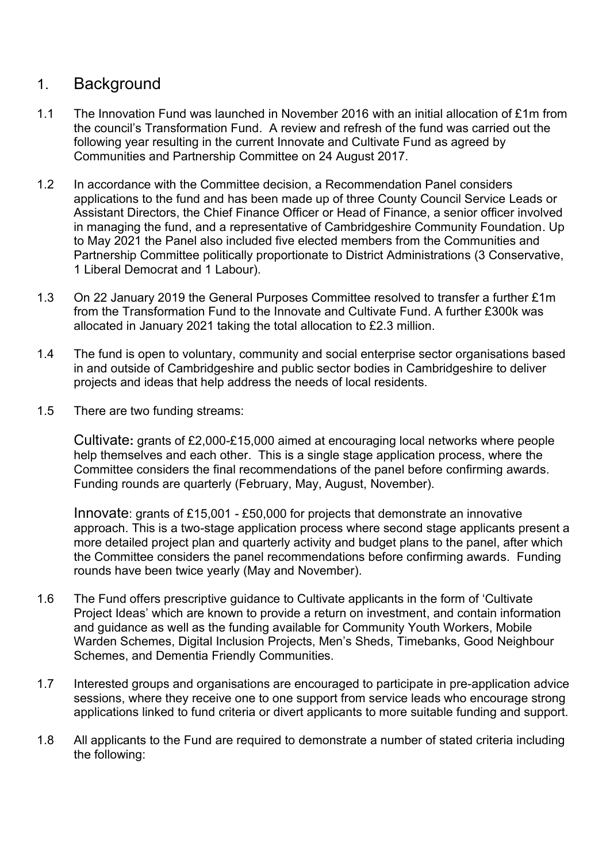### 1. Background

- 1.1 The Innovation Fund was launched in November 2016 with an initial allocation of £1m from the council's Transformation Fund. A review and refresh of the fund was carried out the following year resulting in the current Innovate and Cultivate Fund as agreed by Communities and Partnership Committee on 24 August 2017.
- 1.2 In accordance with the Committee decision, a Recommendation Panel considers applications to the fund and has been made up of three County Council Service Leads or Assistant Directors, the Chief Finance Officer or Head of Finance, a senior officer involved in managing the fund, and a representative of Cambridgeshire Community Foundation. Up to May 2021 the Panel also included five elected members from the Communities and Partnership Committee politically proportionate to District Administrations (3 Conservative, 1 Liberal Democrat and 1 Labour).
- 1.3 On 22 January 2019 the General Purposes Committee resolved to transfer a further £1m from the Transformation Fund to the Innovate and Cultivate Fund. A further £300k was allocated in January 2021 taking the total allocation to £2.3 million.
- 1.4 The fund is open to voluntary, community and social enterprise sector organisations based in and outside of Cambridgeshire and public sector bodies in Cambridgeshire to deliver projects and ideas that help address the needs of local residents.
- 1.5 There are two funding streams:

Cultivate**:** grants of £2,000-£15,000 aimed at encouraging local networks where people help themselves and each other. This is a single stage application process, where the Committee considers the final recommendations of the panel before confirming awards. Funding rounds are quarterly (February, May, August, November).

Innovate: grants of £15,001 - £50,000 for projects that demonstrate an innovative approach. This is a two-stage application process where second stage applicants present a more detailed project plan and quarterly activity and budget plans to the panel, after which the Committee considers the panel recommendations before confirming awards. Funding rounds have been twice yearly (May and November).

- 1.6 The Fund offers prescriptive guidance to Cultivate applicants in the form of 'Cultivate Project Ideas' which are known to provide a return on investment, and contain information and guidance as well as the funding available for Community Youth Workers, Mobile Warden Schemes, Digital Inclusion Projects, Men's Sheds, Timebanks, Good Neighbour Schemes, and Dementia Friendly Communities.
- 1.7 Interested groups and organisations are encouraged to participate in pre-application advice sessions, where they receive one to one support from service leads who encourage strong applications linked to fund criteria or divert applicants to more suitable funding and support.
- 1.8 All applicants to the Fund are required to demonstrate a number of stated criteria including the following: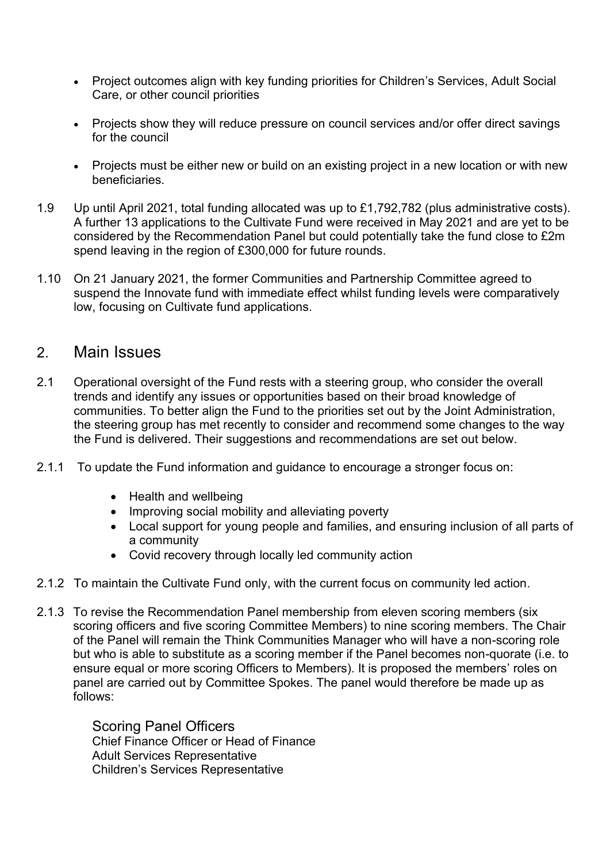- Project outcomes align with key funding priorities for Children's Services, Adult Social Care, or other council priorities
- Projects show they will reduce pressure on council services and/or offer direct savings for the council
- Projects must be either new or build on an existing project in a new location or with new beneficiaries.
- 1.9 Up until April 2021, total funding allocated was up to £1,792,782 (plus administrative costs). A further 13 applications to the Cultivate Fund were received in May 2021 and are yet to be considered by the Recommendation Panel but could potentially take the fund close to £2m spend leaving in the region of £300,000 for future rounds.
- 1.10 On 21 January 2021, the former Communities and Partnership Committee agreed to suspend the Innovate fund with immediate effect whilst funding levels were comparatively low, focusing on Cultivate fund applications.

#### 2. Main Issues

- 2.1 Operational oversight of the Fund rests with a steering group, who consider the overall trends and identify any issues or opportunities based on their broad knowledge of communities. To better align the Fund to the priorities set out by the Joint Administration, the steering group has met recently to consider and recommend some changes to the way the Fund is delivered. Their suggestions and recommendations are set out below.
- 2.1.1 To update the Fund information and guidance to encourage a stronger focus on:
	- Health and wellbeing
	- Improving social mobility and alleviating poverty
	- Local support for young people and families, and ensuring inclusion of all parts of a community
	- Covid recovery through locally led community action
- 2.1.2 To maintain the Cultivate Fund only, with the current focus on community led action.
- 2.1.3 To revise the Recommendation Panel membership from eleven scoring members (six scoring officers and five scoring Committee Members) to nine scoring members. The Chair of the Panel will remain the Think Communities Manager who will have a non-scoring role but who is able to substitute as a scoring member if the Panel becomes non-quorate (i.e. to ensure equal or more scoring Officers to Members). It is proposed the members' roles on panel are carried out by Committee Spokes. The panel would therefore be made up as follows:

Scoring Panel Officers Chief Finance Officer or Head of Finance Adult Services Representative Children's Services Representative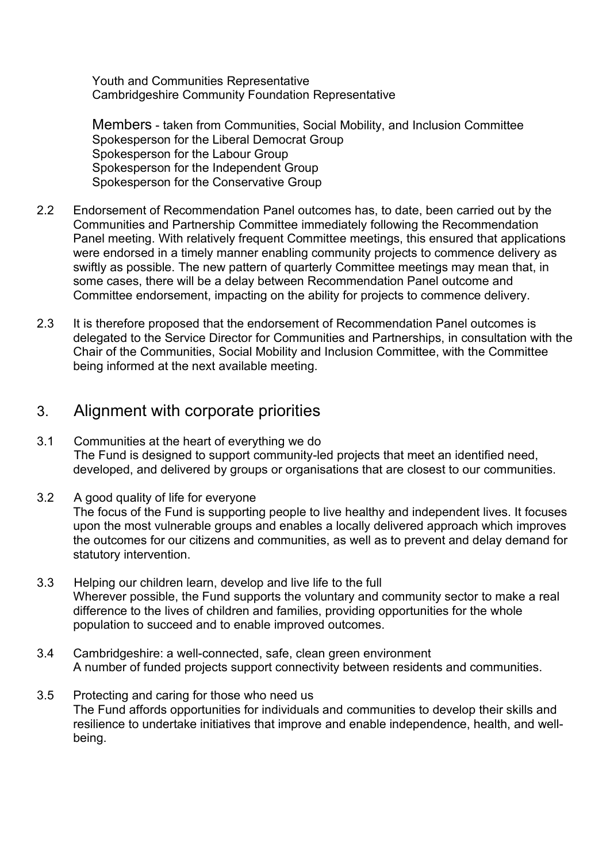Youth and Communities Representative Cambridgeshire Community Foundation Representative

Members - taken from Communities, Social Mobility, and Inclusion Committee Spokesperson for the Liberal Democrat Group Spokesperson for the Labour Group Spokesperson for the Independent Group Spokesperson for the Conservative Group

- 2.2 Endorsement of Recommendation Panel outcomes has, to date, been carried out by the Communities and Partnership Committee immediately following the Recommendation Panel meeting. With relatively frequent Committee meetings, this ensured that applications were endorsed in a timely manner enabling community projects to commence delivery as swiftly as possible. The new pattern of quarterly Committee meetings may mean that, in some cases, there will be a delay between Recommendation Panel outcome and Committee endorsement, impacting on the ability for projects to commence delivery.
- 2.3 It is therefore proposed that the endorsement of Recommendation Panel outcomes is delegated to the Service Director for Communities and Partnerships, in consultation with the Chair of the Communities, Social Mobility and Inclusion Committee, with the Committee being informed at the next available meeting.

#### 3. Alignment with corporate priorities

- 3.1 Communities at the heart of everything we do The Fund is designed to support community-led projects that meet an identified need, developed, and delivered by groups or organisations that are closest to our communities.
- 3.2 A good quality of life for everyone The focus of the Fund is supporting people to live healthy and independent lives. It focuses upon the most vulnerable groups and enables a locally delivered approach which improves the outcomes for our citizens and communities, as well as to prevent and delay demand for statutory intervention.
- 3.3 Helping our children learn, develop and live life to the full Wherever possible, the Fund supports the voluntary and community sector to make a real difference to the lives of children and families, providing opportunities for the whole population to succeed and to enable improved outcomes.
- 3.4 Cambridgeshire: a well-connected, safe, clean green environment A number of funded projects support connectivity between residents and communities.
- 3.5 Protecting and caring for those who need us The Fund affords opportunities for individuals and communities to develop their skills and resilience to undertake initiatives that improve and enable independence, health, and wellbeing.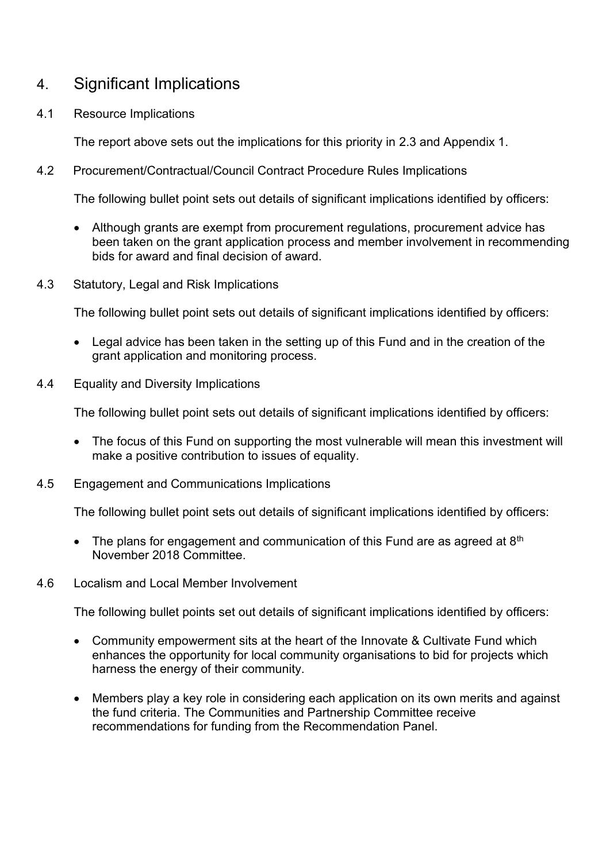## 4. Significant Implications

4.1 Resource Implications

The report above sets out the implications for this priority in 2.3 and Appendix 1.

4.2 Procurement/Contractual/Council Contract Procedure Rules Implications

The following bullet point sets out details of significant implications identified by officers:

- Although grants are exempt from procurement regulations, procurement advice has been taken on the grant application process and member involvement in recommending bids for award and final decision of award.
- 4.3 Statutory, Legal and Risk Implications

The following bullet point sets out details of significant implications identified by officers:

- Legal advice has been taken in the setting up of this Fund and in the creation of the grant application and monitoring process.
- 4.4 Equality and Diversity Implications

The following bullet point sets out details of significant implications identified by officers:

- The focus of this Fund on supporting the most vulnerable will mean this investment will make a positive contribution to issues of equality.
- 4.5 Engagement and Communications Implications

The following bullet point sets out details of significant implications identified by officers:

- The plans for engagement and communication of this Fund are as agreed at  $8<sup>th</sup>$ November 2018 Committee.
- 4.6 Localism and Local Member Involvement

The following bullet points set out details of significant implications identified by officers:

- Community empowerment sits at the heart of the Innovate & Cultivate Fund which enhances the opportunity for local community organisations to bid for projects which harness the energy of their community.
- Members play a key role in considering each application on its own merits and against the fund criteria. The Communities and Partnership Committee receive recommendations for funding from the Recommendation Panel.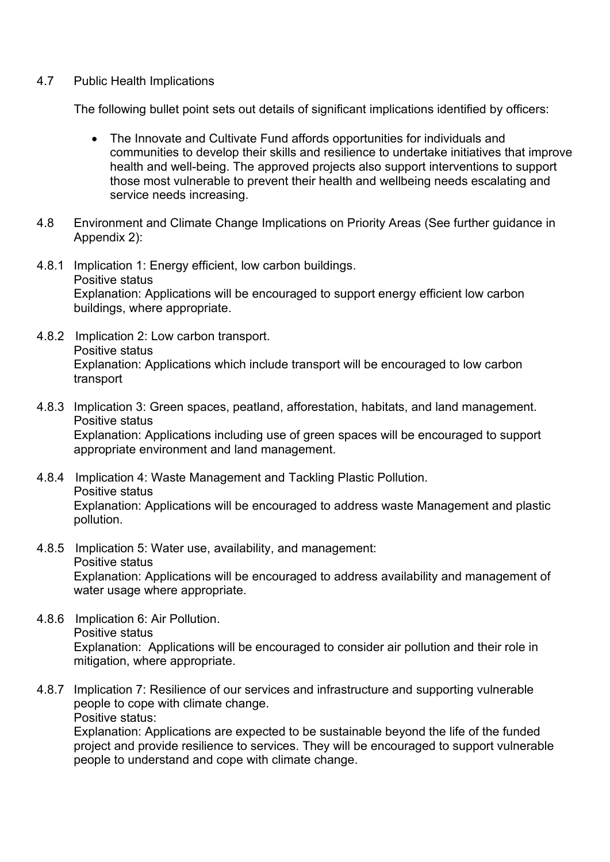#### 4.7 Public Health Implications

The following bullet point sets out details of significant implications identified by officers:

- The Innovate and Cultivate Fund affords opportunities for individuals and communities to develop their skills and resilience to undertake initiatives that improve health and well-being. The approved projects also support interventions to support those most vulnerable to prevent their health and wellbeing needs escalating and service needs increasing.
- 4.8 Environment and Climate Change Implications on Priority Areas (See further guidance in Appendix 2):
- 4.8.1 Implication 1: Energy efficient, low carbon buildings. Positive status Explanation: Applications will be encouraged to support energy efficient low carbon buildings, where appropriate.
- 4.8.2 Implication 2: Low carbon transport. Positive status Explanation: Applications which include transport will be encouraged to low carbon transport
- 4.8.3 Implication 3: Green spaces, peatland, afforestation, habitats, and land management. Positive status Explanation: Applications including use of green spaces will be encouraged to support appropriate environment and land management.
- 4.8.4 Implication 4: Waste Management and Tackling Plastic Pollution. Positive status Explanation: Applications will be encouraged to address waste Management and plastic pollution.
- 4.8.5 Implication 5: Water use, availability, and management: Positive status Explanation: Applications will be encouraged to address availability and management of water usage where appropriate.
- 4.8.6 Implication 6: Air Pollution. Positive status Explanation: Applications will be encouraged to consider air pollution and their role in mitigation, where appropriate.
- 4.8.7 Implication 7: Resilience of our services and infrastructure and supporting vulnerable people to cope with climate change. Positive status:

Explanation: Applications are expected to be sustainable beyond the life of the funded project and provide resilience to services. They will be encouraged to support vulnerable people to understand and cope with climate change.